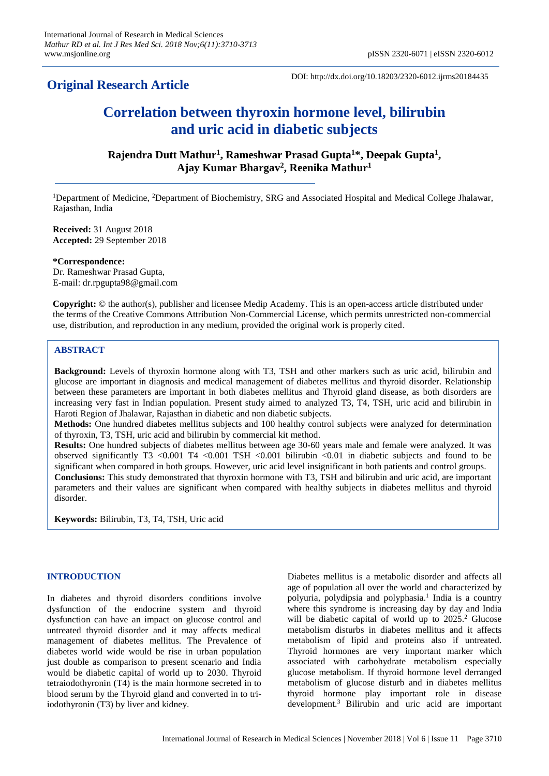# **Original Research Article**

DOI: http://dx.doi.org/10.18203/2320-6012.ijrms20184435

# **Correlation between thyroxin hormone level, bilirubin and uric acid in diabetic subjects**

**Rajendra Dutt Mathur<sup>1</sup> , Rameshwar Prasad Gupta<sup>1</sup>\*, Deepak Gupta<sup>1</sup> , Ajay Kumar Bhargav<sup>2</sup> , Reenika Mathur<sup>1</sup>**

<sup>1</sup>Department of Medicine, <sup>2</sup>Department of Biochemistry, SRG and Associated Hospital and Medical College Jhalawar, Rajasthan, India

**Received:** 31 August 2018 **Accepted:** 29 September 2018

**\*Correspondence:** Dr. Rameshwar Prasad Gupta, E-mail: dr.rpgupta98@gmail.com

**Copyright:** © the author(s), publisher and licensee Medip Academy. This is an open-access article distributed under the terms of the Creative Commons Attribution Non-Commercial License, which permits unrestricted non-commercial use, distribution, and reproduction in any medium, provided the original work is properly cited.

# **ABSTRACT**

**Background:** Levels of thyroxin hormone along with T3, TSH and other markers such as uric acid, bilirubin and glucose are important in diagnosis and medical management of diabetes mellitus and thyroid disorder. Relationship between these parameters are important in both diabetes mellitus and Thyroid gland disease, as both disorders are increasing very fast in Indian population. Present study aimed to analyzed T3, T4, TSH, uric acid and bilirubin in Haroti Region of Jhalawar, Rajasthan in diabetic and non diabetic subjects.

**Methods:** One hundred diabetes mellitus subjects and 100 healthy control subjects were analyzed for determination of thyroxin, T3, TSH, uric acid and bilirubin by commercial kit method.

**Results:** One hundred subjects of diabetes mellitus between age 30-60 years male and female were analyzed. It was observed significantly T3 <0.001 T4 <0.001 TSH <0.001 bilirubin <0.01 in diabetic subjects and found to be significant when compared in both groups. However, uric acid level insignificant in both patients and control groups. **Conclusions:** This study demonstrated that thyroxin hormone with T3, TSH and bilirubin and uric acid, are important parameters and their values are significant when compared with healthy subjects in diabetes mellitus and thyroid disorder.

**Keywords:** Bilirubin, T3, T4, TSH, Uric acid

# **INTRODUCTION**

In diabetes and thyroid disorders conditions involve dysfunction of the endocrine system and thyroid dysfunction can have an impact on glucose control and untreated thyroid disorder and it may affects medical management of diabetes mellitus. The Prevalence of diabetes world wide would be rise in urban population just double as comparison to present scenario and India would be diabetic capital of world up to 2030. Thyroid tetraiodothyronin (T4) is the main hormone secreted in to blood serum by the Thyroid gland and converted in to triiodothyronin (T3) by liver and kidney.

Diabetes mellitus is a metabolic disorder and affects all age of population all over the world and characterized by polyuria, polydipsia and polyphasia. 1 India is a country where this syndrome is increasing day by day and India will be diabetic capital of world up to 2025.<sup>2</sup> Glucose metabolism disturbs in diabetes mellitus and it affects metabolism of lipid and proteins also if untreated. Thyroid hormones are very important marker which associated with carbohydrate metabolism especially glucose metabolism. If thyroid hormone level derranged metabolism of glucose disturb and in diabetes mellitus thyroid hormone play important role in disease development.<sup>3</sup> Bilirubin and uric acid are important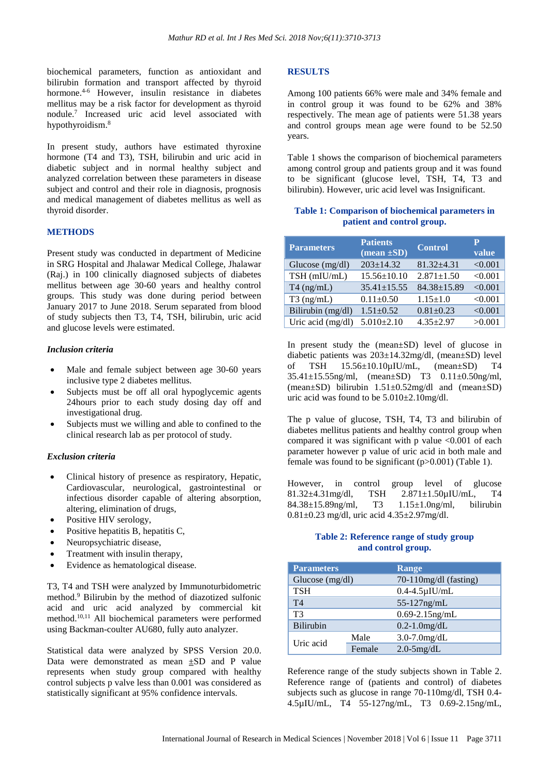biochemical parameters, function as antioxidant and bilirubin formation and transport affected by thyroid hormone. 4-6 However, insulin resistance in diabetes mellitus may be a risk factor for development as thyroid nodule. 7 Increased uric acid level associated with hypothyroidism.<sup>8</sup>

In present study, authors have estimated thyroxine hormone (T4 and T3), TSH, bilirubin and uric acid in diabetic subject and in normal healthy subject and analyzed correlation between these parameters in disease subject and control and their role in diagnosis, prognosis and medical management of diabetes mellitus as well as thyroid disorder.

### **METHODS**

Present study was conducted in department of Medicine in SRG Hospital and Jhalawar Medical College, Jhalawar (Raj.) in 100 clinically diagnosed subjects of diabetes mellitus between age 30-60 years and healthy control groups. This study was done during period between January 2017 to June 2018. Serum separated from blood of study subjects then T3, T4, TSH, bilirubin, uric acid and glucose levels were estimated.

# *Inclusion criteria*

- Male and female subject between age 30-60 years inclusive type 2 diabetes mellitus.
- Subjects must be off all oral hypoglycemic agents 24hours prior to each study dosing day off and investigational drug.
- Subjects must we willing and able to confined to the clinical research lab as per protocol of study.

#### *Exclusion criteria*

- Clinical history of presence as respiratory, Hepatic, Cardiovascular, neurological, gastrointestinal or infectious disorder capable of altering absorption, altering, elimination of drugs,
- Positive HIV serology,
- Positive hepatitis B, hepatitis C,
- Neuropsychiatric disease,
- Treatment with insulin therapy,
- Evidence as hematological disease.

T3, T4 and TSH were analyzed by Immunoturbidometric method.<sup>9</sup> Bilirubin by the method of diazotized sulfonic acid and uric acid analyzed by commercial kit method.10,11 All biochemical parameters were performed using Backman-coulter AU680, fully auto analyzer.

Statistical data were analyzed by SPSS Version 20.0. Data were demonstrated as mean ±SD and P value represents when study group compared with healthy control subjects p valve less than 0.001 was considered as statistically significant at 95% confidence intervals.

#### **RESULTS**

Among 100 patients 66% were male and 34% female and in control group it was found to be 62% and 38% respectively. The mean age of patients were 51.38 years and control groups mean age were found to be 52.50 years.

Table 1 shows the comparison of biochemical parameters among control group and patients group and it was found to be significant (glucose level, TSH, T4, T3 and bilirubin). However, uric acid level was Insignificant.

# **Table 1: Comparison of biochemical parameters in patient and control group.**

| <b>Parameters</b> | <b>Patients</b><br>$(mean \pm SD)$ | <b>Control</b>    | Р<br>value |
|-------------------|------------------------------------|-------------------|------------|
| Glucose $(mg/dl)$ | $203 \pm 14.32$                    | $81.32 \pm 4.31$  | < 0.001    |
| TSH (mIU/mL)      | $15.56 \pm 10.10$                  | $2.871 \pm 1.50$  | < 0.001    |
| $T4$ (ng/mL)      | $35.41 \pm 15.55$                  | $84.38 \pm 15.89$ | < 0.001    |
| $T3$ (ng/mL)      | $0.11 \pm 0.50$                    | $1.15 \pm 1.0$    | < 0.001    |
| Bilirubin (mg/dl) | $1.51 \pm 0.52$                    | $0.81 \pm 0.23$   | < 0.001    |
| Uric acid (mg/dl) | $5.010 \pm 2.10$                   | $4.35 + 2.97$     | >0.001     |

In present study the (mean±SD) level of glucose in diabetic patients was 203±14.32mg/dl, (mean±SD) level of TSH 15.56±10.10µIU/mL, (mean±SD) T4 35.41±15.55ng/ml, (mean±SD) T3 0.11±0.50ng/ml, (mean±SD) bilirubin 1.51±0.52mg/dl and (mean±SD) uric acid was found to be 5.010±2.10mg/dl.

The p value of glucose, TSH, T4, T3 and bilirubin of diabetes mellitus patients and healthy control group when compared it was significant with p value  $\leq 0.001$  of each parameter however p value of uric acid in both male and female was found to be significant (p>0.001) (Table 1).

However, in control group level of glucose 81.32±4.31mg/dl, TSH 2.871±1.50µIU/mL, T4 84.38±15.89ng/ml, T3 1.15±1.0ng/ml, bilirubin 0.81±0.23 mg/dl, uric acid 4.35±2.97mg/dl.

# **Table 2: Reference range of study group and control group.**

| <b>Parameters</b> |        | Range                    |  |
|-------------------|--------|--------------------------|--|
| Glucose (mg/dl)   |        | $70-110$ mg/dl (fasting) |  |
| <b>TSH</b>        |        | $0.4-4.5\mu$ IU/mL       |  |
| T <sub>4</sub>    |        | $55-127$ ng/mL           |  |
| T3                |        | $0.69 - 2.15$ ng/mL      |  |
| Bilirubin         |        | $0.2 - 1.0$ mg/dL        |  |
| Uric acid         | Male   | $3.0 - 7.0$ mg/dL        |  |
|                   | Female | $2.0 - 5$ mg/dL          |  |

Reference range of the study subjects shown in Table 2. Reference range of (patients and control) of diabetes subjects such as glucose in range 70-110mg/dl, TSH 0.4- 4.5µIU/mL, T4 55-127ng/mL, T3 0.69-2.15ng/mL,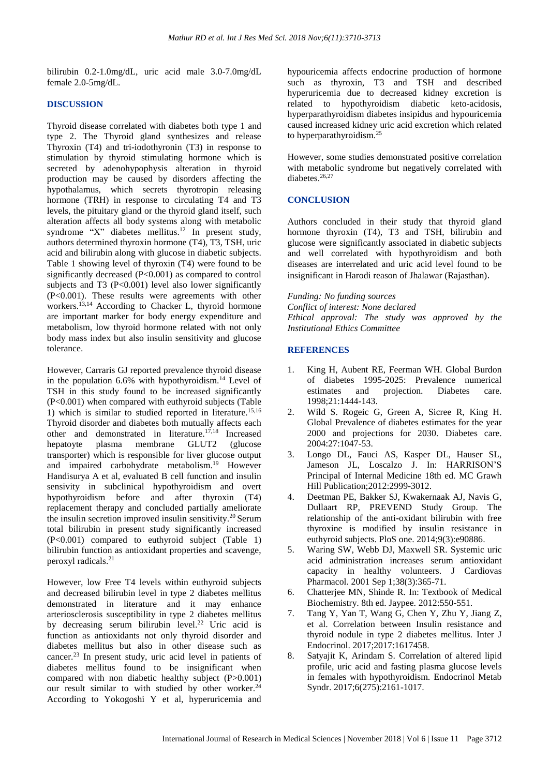bilirubin 0.2-1.0mg/dL, uric acid male 3.0-7.0mg/dL female 2.0-5mg/dL.

# **DISCUSSION**

Thyroid disease correlated with diabetes both type 1 and type 2. The Thyroid gland synthesizes and release Thyroxin (T4) and tri-iodothyronin (T3) in response to stimulation by thyroid stimulating hormone which is secreted by adenohypophysis alteration in thyroid production may be caused by disorders affecting the hypothalamus, which secrets thyrotropin releasing hormone (TRH) in response to circulating T4 and T3 levels, the pituitary gland or the thyroid gland itself, such alteration affects all body systems along with metabolic syndrome "X" diabetes mellitus.<sup>12</sup> In present study, authors determined thyroxin hormone (T4), T3, TSH, uric acid and bilirubin along with glucose in diabetic subjects. Table 1 showing level of thyroxin (T4) were found to be significantly decreased (P<0.001) as compared to control subjects and T3  $(P<0.001)$  level also lower significantly (P<0.001). These results were agreements with other workers.<sup>13,14</sup> According to Chacker L, thyroid hormone are important marker for body energy expenditure and metabolism, low thyroid hormone related with not only body mass index but also insulin sensitivity and glucose tolerance.

However, Carraris GJ reported prevalence thyroid disease in the population  $6.6\%$  with hypothyroidism.<sup>14</sup> Level of TSH in this study found to be increased significantly (P<0.001) when compared with euthyroid subjects (Table 1) which is similar to studied reported in literature.<sup>15,16</sup> Thyroid disorder and diabetes both mutually affects each other and demonstrated in literature.17,18 Increased hepatoyte plasma membrane GLUT2 (glucose transporter) which is responsible for liver glucose output and impaired carbohydrate metabolism.<sup>19</sup> However Handisurya A et al, evaluated B cell function and insulin sensivity in subclinical hypothyroidism and overt hypothyroidism before and after thyroxin (T4) replacement therapy and concluded partially ameliorate the insulin secretion improved insulin sensitivity.<sup>20</sup> Serum total bilirubin in present study significantly increased (P<0.001) compared to euthyroid subject (Table 1) bilirubin function as antioxidant properties and scavenge, peroxyl radicals.<sup>21</sup>

However, low Free T4 levels within euthyroid subjects and decreased bilirubin level in type 2 diabetes mellitus demonstrated in literature and it may enhance arteriosclerosis susceptibility in type 2 diabetes mellitus by decreasing serum bilirubin level.<sup>22</sup> Uric acid is function as antioxidants not only thyroid disorder and diabetes mellitus but also in other disease such as cancer.<sup>23</sup> In present study, uric acid level in patients of diabetes mellitus found to be insignificant when compared with non diabetic healthy subject (P>0.001) our result similar to with studied by other worker.<sup>24</sup> According to Yokogoshi Y et al, hyperuricemia and hypouricemia affects endocrine production of hormone such as thyroxin, T3 and TSH and described hyperuricemia due to decreased kidney excretion is related to hypothyroidism diabetic keto-acidosis, hyperparathyroidism diabetes insipidus and hypouricemia caused increased kidney uric acid excretion which related to hyperparathyroidism.<sup>25</sup>

However, some studies demonstrated positive correlation with metabolic syndrome but negatively correlated with diabetes.<sup>26,27</sup>

# **CONCLUSION**

Authors concluded in their study that thyroid gland hormone thyroxin (T4), T3 and TSH, bilirubin and glucose were significantly associated in diabetic subjects and well correlated with hypothyroidism and both diseases are interrelated and uric acid level found to be insignificant in Harodi reason of Jhalawar (Rajasthan).

*Funding: No funding sources*

*Conflict of interest: None declared Ethical approval: The study was approved by the Institutional Ethics Committee*

# **REFERENCES**

- 1. King H, Aubent RE, Feerman WH. Global Burdon of diabetes 1995-2025: Prevalence numerical estimates and projection. Diabetes care. 1998;21:1444-143.
- 2. Wild S. Rogeic G, Green A, Sicree R, King H. Global Prevalence of diabetes estimates for the year 2000 and projections for 2030. Diabetes care. 2004:27:1047-53.
- 3. Longo DL, Fauci AS, Kasper DL, Hauser SL, Jameson JL, Loscalzo J. In: HARRISON'S Principal of Internal Medicine 18th ed. MC Grawh Hill Publication;2012:2999-3012.
- 4. Deetman PE, Bakker SJ, Kwakernaak AJ, Navis G, Dullaart RP, PREVEND Study Group. The relationship of the anti-oxidant bilirubin with free thyroxine is modified by insulin resistance in euthyroid subjects. PloS one. 2014;9(3):e90886.
- 5. Waring SW, Webb DJ, Maxwell SR. Systemic uric acid administration increases serum antioxidant capacity in healthy volunteers. J Cardiovas Pharmacol. 2001 Sep 1;38(3):365-71.
- 6. Chatterjee MN, Shinde R. In: Textbook of Medical Biochemistry. 8th ed. Jaypee. 2012:550-551.
- 7. Tang Y, Yan T, Wang G, Chen Y, Zhu Y, Jiang Z, et al. Correlation between Insulin resistance and thyroid nodule in type 2 diabetes mellitus. Inter J Endocrinol. 2017;2017:1617458.
- 8. Satyajit K, Arindam S. Correlation of altered lipid profile, uric acid and fasting plasma glucose levels in females with hypothyroidism. Endocrinol Metab Syndr. 2017;6(275):2161-1017.